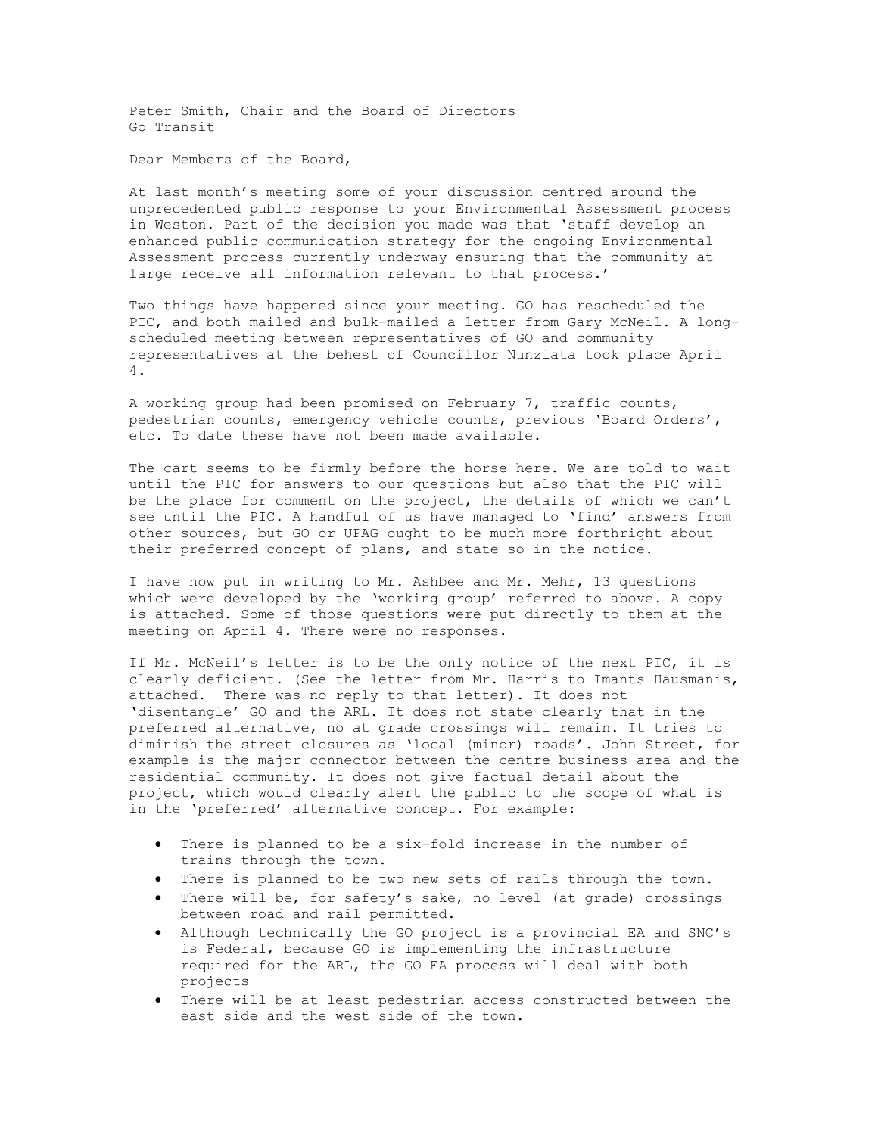Peter Smith, Chair and the Board of Directors Go Transit

Dear Members of the Board,

At last month's meeting some of your discussion centred around the unprecedented public response to your Environmental Assessment process in Weston. Part of the decision you made was that 'staff develop an enhanced public communication strategy for the ongoing Environmental Assessment process currently underway ensuring that the community at large receive all information relevant to that process.'

Two things have happened since your meeting. GO has rescheduled the PIC, and both mailed and bulk-mailed a letter from Gary McNeil. A longscheduled meeting between representatives of GO and community representatives at the behest of Councillor Nunziata took place April 4.

A working group had been promised on February 7, traffic counts, pedestrian counts, emergency vehicle counts, previous 'Board Orders', etc. To date these have not been made available.

The cart seems to be firmly before the horse here. We are told to wait until the PIC for answers to our questions but also that the PIC will be the place for comment on the project, the details of which we can't see until the PIC. A handful of us have managed to 'find' answers from other sources, but GO or UPAG ought to be much more forthright about their preferred concept of plans, and state so in the notice.

I have now put in writing to Mr. Ashbee and Mr. Mehr, 13 questions which were developed by the 'working group' referred to above. A copy is attached. Some of those questions were put directly to them at the meeting on April 4. There were no responses.

If Mr. McNeil's letter is to be the only notice of the next PIC, it is clearly deficient. (See the letter from Mr. Harris to Imants Hausmanis, attached. There was no reply to that letter). It does not 'disentangle' GO and the ARL. It does not state clearly that in the preferred alternative, no at grade crossings will remain. It tries to diminish the street closures as 'local (minor) roads'. John Street, for example is the major connector between the centre business area and the residential community. It does not give factual detail about the project, which would clearly alert the public to the scope of what is in the 'preferred' alternative concept. For example:

- There is planned to be a six-fold increase in the number of trains through the town.
- There is planned to be two new sets of rails through the town.
- There will be, for safety's sake, no level (at grade) crossings between road and rail permitted.
- Although technically the GO project is a provincial EA and SNC's is Federal, because GO is implementing the infrastructure required for the ARL, the GO EA process will deal with both projects
- There will be at least pedestrian access constructed between the east side and the west side of the town.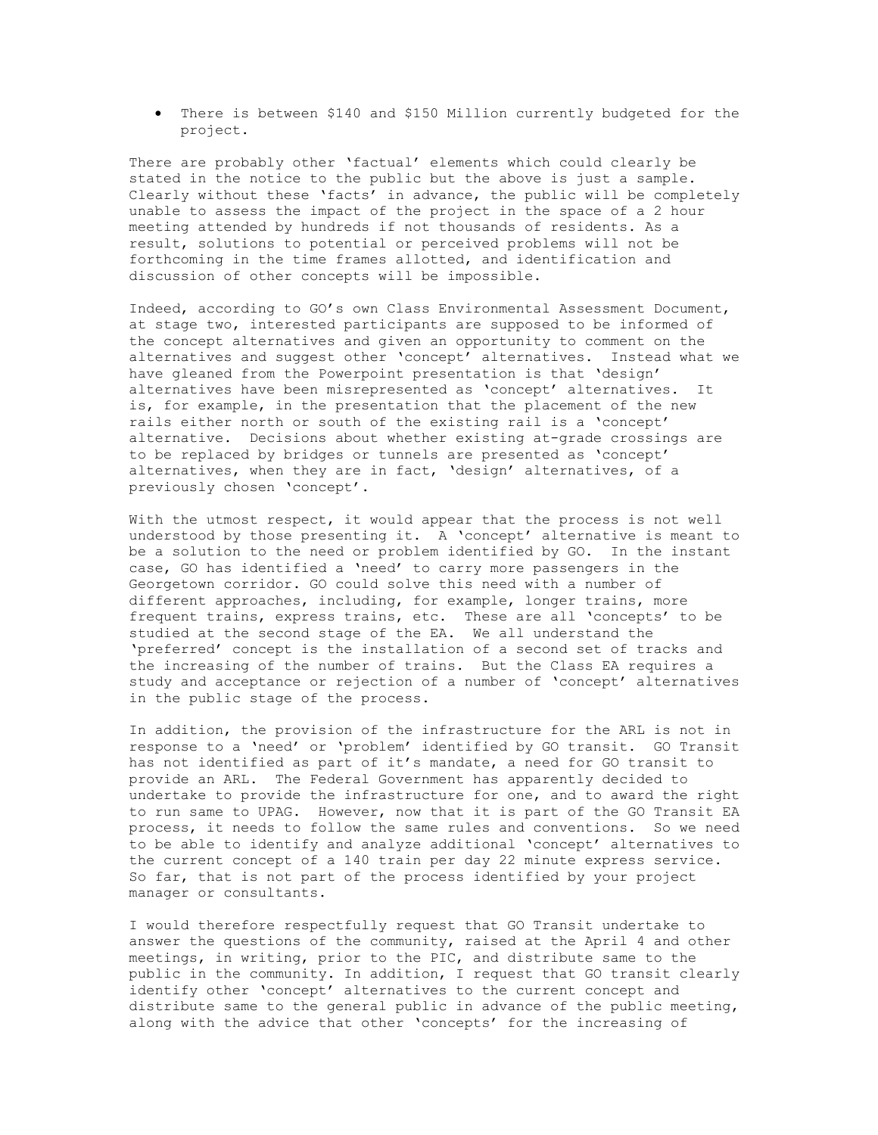• There is between \$140 and \$150 Million currently budgeted for the project.

There are probably other 'factual' elements which could clearly be stated in the notice to the public but the above is just a sample. Clearly without these 'facts' in advance, the public will be completely unable to assess the impact of the project in the space of a 2 hour meeting attended by hundreds if not thousands of residents. As a result, solutions to potential or perceived problems will not be forthcoming in the time frames allotted, and identification and discussion of other concepts will be impossible.

Indeed, according to GO's own Class Environmental Assessment Document, at stage two, interested participants are supposed to be informed of the concept alternatives and given an opportunity to comment on the alternatives and suggest other 'concept' alternatives. Instead what we have gleaned from the Powerpoint presentation is that 'design' alternatives have been misrepresented as 'concept' alternatives. It is, for example, in the presentation that the placement of the new rails either north or south of the existing rail is a 'concept' alternative. Decisions about whether existing at-grade crossings are to be replaced by bridges or tunnels are presented as 'concept' alternatives, when they are in fact, 'design' alternatives, of a previously chosen 'concept'.

With the utmost respect, it would appear that the process is not well understood by those presenting it. A 'concept' alternative is meant to be a solution to the need or problem identified by GO. In the instant case, GO has identified a 'need' to carry more passengers in the Georgetown corridor. GO could solve this need with a number of different approaches, including, for example, longer trains, more frequent trains, express trains, etc. These are all 'concepts' to be studied at the second stage of the EA. We all understand the 'preferred' concept is the installation of a second set of tracks and the increasing of the number of trains. But the Class EA requires a study and acceptance or rejection of a number of 'concept' alternatives in the public stage of the process.

In addition, the provision of the infrastructure for the ARL is not in response to a 'need' or 'problem' identified by GO transit. GO Transit has not identified as part of it's mandate, a need for GO transit to provide an ARL. The Federal Government has apparently decided to undertake to provide the infrastructure for one, and to award the right to run same to UPAG. However, now that it is part of the GO Transit EA process, it needs to follow the same rules and conventions. So we need to be able to identify and analyze additional 'concept' alternatives to the current concept of a 140 train per day 22 minute express service. So far, that is not part of the process identified by your project manager or consultants.

I would therefore respectfully request that GO Transit undertake to answer the questions of the community, raised at the April 4 and other meetings, in writing, prior to the PIC, and distribute same to the public in the community. In addition, I request that GO transit clearly identify other 'concept' alternatives to the current concept and distribute same to the general public in advance of the public meeting, along with the advice that other 'concepts' for the increasing of